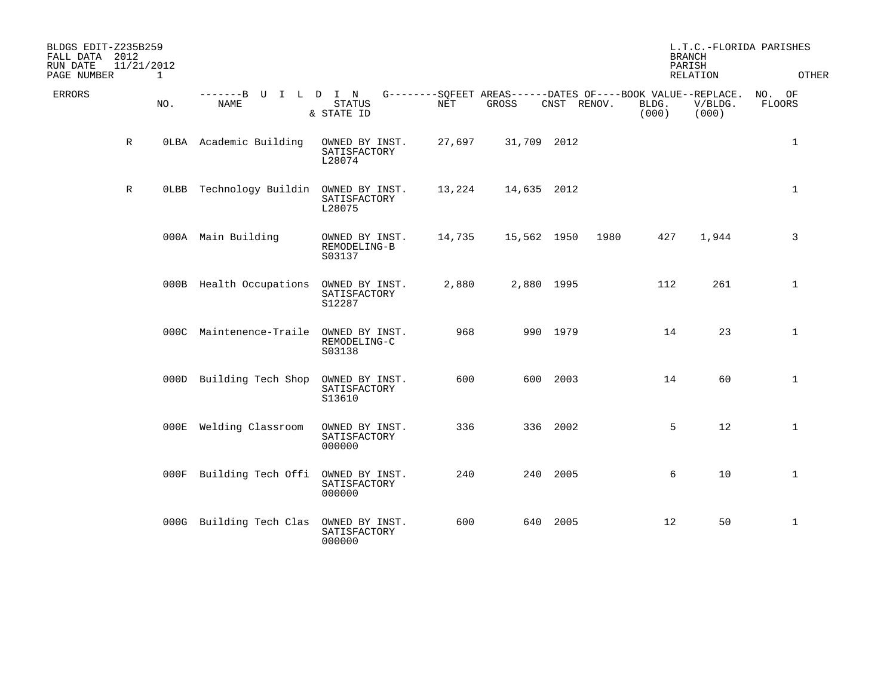| BLDGS EDIT-Z235B259<br>FALL DATA 2012<br>RUN DATE<br>PAGE NUMBER | 11/21/2012  | 1   |                                        |                                          |        |                                                                      |          |             | <b>BRANCH</b><br>PARISH | RELATION         | L.T.C.-FLORIDA PARISHES<br>OTHER |
|------------------------------------------------------------------|-------------|-----|----------------------------------------|------------------------------------------|--------|----------------------------------------------------------------------|----------|-------------|-------------------------|------------------|----------------------------------|
| ERRORS                                                           |             | NO. | -------B U I L D I N<br>NAME           | STATUS<br>& STATE ID                     | NET    | G--------SQFEET AREAS------DATES OF----BOOK VALUE--REPLACE.<br>GROSS |          | CNST RENOV. | BLDG.<br>(000)          | V/BLDG.<br>(000) | NO. OF<br><b>FLOORS</b>          |
|                                                                  | $\mathbb R$ |     | OLBA Academic Building                 | OWNED BY INST.<br>SATISFACTORY<br>L28074 | 27,697 | 31,709 2012                                                          |          |             |                         |                  | $\mathbf{1}$                     |
|                                                                  | $\mathbb R$ |     | OLBB Technology Buildin OWNED BY INST. | SATISFACTORY<br>L28075                   | 13,224 | 14,635 2012                                                          |          |             |                         |                  | $\mathbf{1}$                     |
|                                                                  |             |     | 000A Main Building                     | OWNED BY INST.<br>REMODELING-B<br>S03137 | 14,735 | 15,562 1950                                                          |          | 1980        | 427                     | 1,944            | 3                                |
|                                                                  |             |     | 000B Health Occupations                | OWNED BY INST.<br>SATISFACTORY<br>S12287 | 2,880  | 2,880 1995                                                           |          |             | 112                     | 261              | $\mathbf{1}$                     |
|                                                                  |             |     | 000C Maintenence-Traile OWNED BY INST. | REMODELING-C<br>S03138                   | 968    |                                                                      | 990 1979 |             | 14                      | 23               | $\mathbf 1$                      |
|                                                                  |             |     | 000D Building Tech Shop                | OWNED BY INST.<br>SATISFACTORY<br>S13610 | 600    |                                                                      | 600 2003 |             | 14                      | 60               | $\mathbf{1}$                     |
|                                                                  |             |     | 000E Welding Classroom                 | OWNED BY INST.<br>SATISFACTORY<br>000000 | 336    |                                                                      | 336 2002 |             | 5                       | 12               | $\mathbf 1$                      |
|                                                                  |             |     | 000F Building Tech Offi OWNED BY INST. | SATISFACTORY<br>000000                   | 240    |                                                                      | 240 2005 |             | 6                       | 10               | $\mathbf{1}$                     |
|                                                                  |             |     | 000G Building Tech Clas OWNED BY INST. | SATISFACTORY<br>000000                   | 600    |                                                                      | 640 2005 |             | 12                      | 50               | $\mathbf{1}$                     |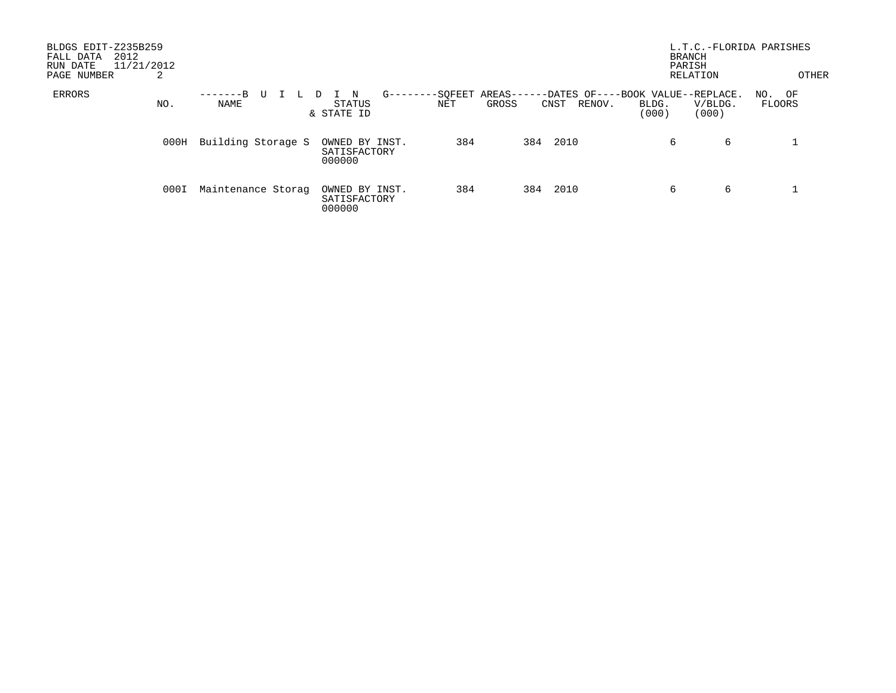| BLDGS EDIT-Z235B259<br>2012<br>FALL DATA<br>11/21/2012<br>RUN DATE<br>PAGE NUMBER | 2    |                    |   |                                          |               |                |                   |                |                                                      | L.T.C.-FLORIDA PARISHES<br><b>BRANCH</b><br>PARISH<br>RELATION |                  | OTHER |
|-----------------------------------------------------------------------------------|------|--------------------|---|------------------------------------------|---------------|----------------|-------------------|----------------|------------------------------------------------------|----------------------------------------------------------------|------------------|-------|
| ERRORS                                                                            | NO.  | $-R$<br>NAME       | U | N<br>STATUS<br>& STATE ID                | $G - - - - -$ | -SOFEET<br>NET | AREAS---<br>GROSS | RENOV.<br>CNST | --DATES OF----BOOK VALUE--REPLACE.<br>BLDG.<br>(000) | V/BLDG.<br>(000)                                               | NO. OF<br>FLOORS |       |
|                                                                                   | 000H | Building Storage S |   | OWNED BY INST.<br>SATISFACTORY<br>000000 |               | 384            | 384               | 2010           | 6                                                    | 6                                                              |                  |       |
|                                                                                   | 000I | Maintenance Storag |   | OWNED BY INST.<br>SATISFACTORY<br>000000 |               | 384            | 384               | 2010           | 6                                                    | 6                                                              |                  |       |